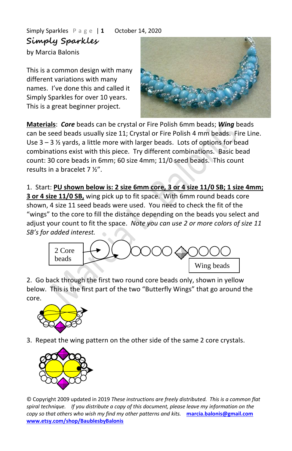Simply Sparkles P a g e | **1** October 14, 2020 **Simply Sparkles**

by Marcia Balonis

This is a common design with many different variations with many names. I've done this and called it Simply Sparkles for over 10 years. This is a great beginner project.



**Materials**: *Core* beads can be crystal or Fire Polish 6mm beads; *Wing* beads can be seed beads usually size 11; Crystal or Fire Polish 4 mm beads. Fire Line. Use  $3 - 3$  % yards, a little more with larger beads. Lots of options for bead combinations exist with this piece. Try different combinations. Basic bead count: 30 core beads in 6mm; 60 size 4mm; 11/0 seed beads. This count results in a bracelet 7 ½".

1. Start: **PU shown below is: 2 size 6mm core, 3 or 4 size 11/0 SB; 1 size 4mm; 3 or 4 size 11/0 SB,** wing pick up to fit space. With 6mm round beads core shown, 4 size 11 seed beads were used. You need to check the fit of the "wings" to the core to fill the distance depending on the beads you select and adjust your count to fit the space. *Note you can use 2 or more colors of size 11 SB's for added interest.*



2. Go back through the first two round core beads only, shown in yellow below. This is the first part of the two "Butterfly Wings" that go around the core.



3. Repeat the wing pattern on the other side of the same 2 core crystals.



© Copyright 2009 updated in 2019 *These instructions are freely distributed. This is a common flat spiral technique. If you distribute a copy of this document, please leave my information on the copy so that others who wish my find my other patterns and kits.* **[marcia.balonis@gmail.com](mailto:marcia@baublesbybalonis.net)  [www.etsy.com/shop/BaublesbyBalonis](https://www.etsy.com/shop/BaublesbyBalonis)**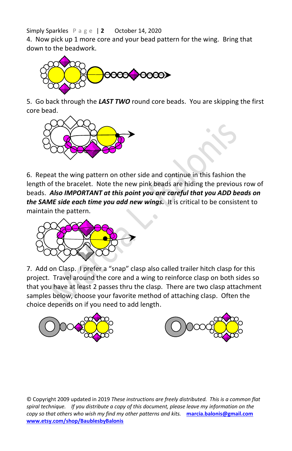Simply Sparkles P a g e | **2** October 14, 2020

4. Now pick up 1 more core and your bead pattern for the wing. Bring that down to the beadwork.



5. Go back through the *LAST TWO* round core beads. You are skipping the first core bead.



6. Repeat the wing pattern on other side and continue in this fashion the length of the bracelet. Note the new pink beads are hiding the previous row of beads. *Also IMPORTANT at this point you are careful that you ADD beads on the SAME side each time you add new wings.* It is critical to be consistent to maintain the pattern.



7. Add on Clasp. I prefer a "snap" clasp also called trailer hitch clasp for this project. Travel around the core and a wing to reinforce clasp on both sides so that you have at least 2 passes thru the clasp. There are two clasp attachment samples below, choose your favorite method of attaching clasp. Often the choice depends on if you need to add length.





© Copyright 2009 updated in 2019 *These instructions are freely distributed. This is a common flat spiral technique. If you distribute a copy of this document, please leave my information on the copy so that others who wish my find my other patterns and kits.* **[marcia.balonis@gmail.com](mailto:marcia@baublesbybalonis.net)  [www.etsy.com/shop/BaublesbyBalonis](https://www.etsy.com/shop/BaublesbyBalonis)**